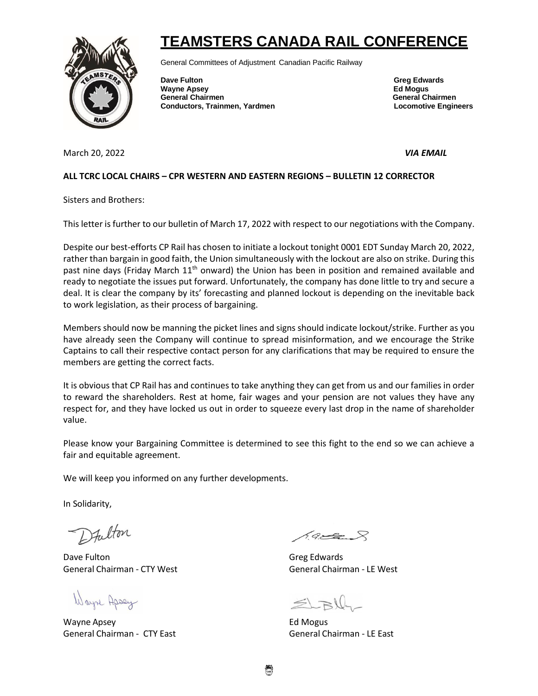## **TEAMSTERS CANADA RAIL CONFERENCE**



General Committees of Adjustment Canadian Pacific Railway

**Dave Fulton Greg Edwards** Greg Edwards **Wayne Apsey Ed Mogus General Chairmen General Chairmen Conductors, Trainmen, Yardmen Locomotive Engineers**

March 20, 2022 *VIA EMAIL* 

## **ALL TCRC LOCAL CHAIRS – CPR WESTERN AND EASTERN REGIONS – BULLETIN 12 CORRECTOR**

Sisters and Brothers:

This letter is further to our bulletin of March 17, 2022 with respect to our negotiations with the Company.

Despite our best-efforts CP Rail has chosen to initiate a lockout tonight 0001 EDT Sunday March 20, 2022, rather than bargain in good faith, the Union simultaneously with the lockout are also on strike. During this past nine days (Friday March 11<sup>th</sup> onward) the Union has been in position and remained available and ready to negotiate the issues put forward. Unfortunately, the company has done little to try and secure a deal. It is clear the company by its' forecasting and planned lockout is depending on the inevitable back to work legislation, as their process of bargaining.

Members should now be manning the picket lines and signs should indicate lockout/strike. Further as you have already seen the Company will continue to spread misinformation, and we encourage the Strike Captains to call their respective contact person for any clarifications that may be required to ensure the members are getting the correct facts.

It is obvious that CP Rail has and continues to take anything they can get from us and our families in order to reward the shareholders. Rest at home, fair wages and your pension are not values they have any respect for, and they have locked us out in order to squeeze every last drop in the name of shareholder value.

Please know your Bargaining Committee is determined to see this fight to the end so we can achieve a fair and equitable agreement.

We will keep you informed on any further developments.

In Solidarity,

Dfulton

Dave Fulton Greg Edwards General Chairman - CTY West General Chairman - LE West

Wayne Apsey

Wayne Apsey **Ed Mogus** General Chairman - CTY East General Chairman - LE East

 $19.228$